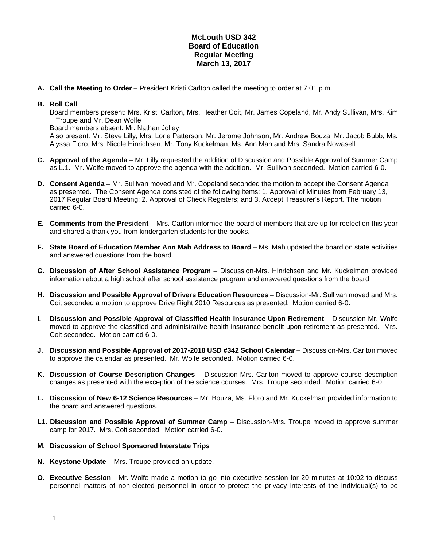## **McLouth USD 342 Board of Education Regular Meeting March 13, 2017**

**A. Call the Meeting to Order** – President Kristi Carlton called the meeting to order at 7:01 p.m.

## **B. Roll Call**

Board members present: Mrs. Kristi Carlton, Mrs. Heather Coit, Mr. James Copeland, Mr. Andy Sullivan, Mrs. Kim Troupe and Mr. Dean Wolfe

Board members absent: Mr. Nathan Jolley

Also present: Mr. Steve Lilly, Mrs. Lorie Patterson, Mr. Jerome Johnson, Mr. Andrew Bouza, Mr. Jacob Bubb, Ms. Alyssa Floro, Mrs. Nicole Hinrichsen, Mr. Tony Kuckelman, Ms. Ann Mah and Mrs. Sandra Nowasell

- **C. Approval of the Agenda** Mr. Lilly requested the addition of Discussion and Possible Approval of Summer Camp as L.1. Mr. Wolfe moved to approve the agenda with the addition. Mr. Sullivan seconded. Motion carried 6-0.
- **D. Consent Agenda** Mr. Sullivan moved and Mr. Copeland seconded the motion to accept the Consent Agenda as presented. The Consent Agenda consisted of the following items: 1. Approval of Minutes from February 13, 2017 Regular Board Meeting; 2. Approval of Check Registers; and 3. Accept Treasurer's Report. The motion carried 6-0.
- **E. Comments from the President** Mrs. Carlton informed the board of members that are up for reelection this year and shared a thank you from kindergarten students for the books.
- **F. State Board of Education Member Ann Mah Address to Board** Ms. Mah updated the board on state activities and answered questions from the board.
- **G. Discussion of After School Assistance Program**  Discussion-Mrs. Hinrichsen and Mr. Kuckelman provided information about a high school after school assistance program and answered questions from the board.
- **H.** Discussion and Possible Approval of Drivers Education Resources Discussion-Mr. Sullivan moved and Mrs. Coit seconded a motion to approve Drive Right 2010 Resources as presented. Motion carried 6-0.
- **I. Discussion and Possible Approval of Classified Health Insurance Upon Retirement** Discussion-Mr. Wolfe moved to approve the classified and administrative health insurance benefit upon retirement as presented. Mrs. Coit seconded. Motion carried 6-0.
- **J. Discussion and Possible Approval of 2017-2018 USD #342 School Calendar** Discussion-Mrs. Carlton moved to approve the calendar as presented. Mr. Wolfe seconded. Motion carried 6-0.
- **K. Discussion of Course Description Changes** Discussion-Mrs. Carlton moved to approve course description changes as presented with the exception of the science courses. Mrs. Troupe seconded. Motion carried 6-0.
- **L. Discussion of New 6-12 Science Resources**  Mr. Bouza, Ms. Floro and Mr. Kuckelman provided information to the board and answered questions.
- **L1. Discussion and Possible Approval of Summer Camp** Discussion-Mrs. Troupe moved to approve summer camp for 2017. Mrs. Coit seconded. Motion carried 6-0.

## **M. Discussion of School Sponsored Interstate Trips**

- **N. Keystone Update**  Mrs. Troupe provided an update.
- **O. Executive Session** Mr. Wolfe made a motion to go into executive session for 20 minutes at 10:02 to discuss personnel matters of non-elected personnel in order to protect the privacy interests of the individual(s) to be